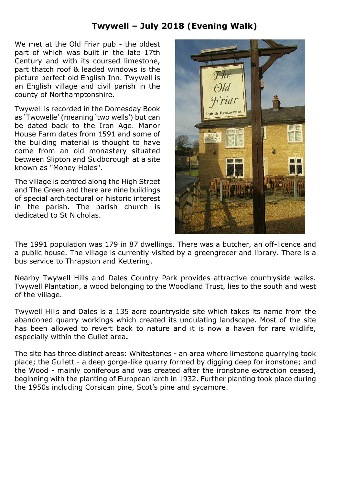## **Twywell – July 2018 (Evening Walk)**

We met at the Old Friar pub - the oldest part of which was built in the late 17th Century and with its coursed limestone, part thatch roof & leaded windows is the picture perfect old English Inn. Twywell is an English village and civil parish in the county of Northamptonshire.

Twywell is recorded in the Domesday Book as 'Twowelle' (meaning 'two wells') but can be dated back to the Iron Age. Manor House Farm dates from 1591 and some of the building material is thought to have come from an old monastery situated between Slipton and Sudborough at a site known as "Money Holes".

The village is centred along the High Street and The Green and there are nine buildings of special architectural or historic interest in the parish. The parish church is dedicated to St Nicholas.



The 1991 population was 179 in 87 dwellings. There was a butcher, an off-licence and a public house. The village is currently visited by a greengrocer and library. There is a bus service to Thrapston and Kettering.

Nearby Twywell Hills and Dales Country Park provides attractive countryside walks. Twywell Plantation, a wood belonging to the Woodland Trust, lies to the south and west of the village.

Twywell Hills and Dales is a 135 acre countryside site which takes its name from the abandoned quarry workings which created its undulating landscape. Most of the site has been allowed to revert back to nature and it is now a haven for rare wildlife, especially within the Gullet area**.**

The site has three distinct areas: Whitestones - an area where limestone quarrying took place; the Gullett - a deep gorge-like quarry formed by digging deep for ironstone; and the Wood - mainly coniferous and was created after the ironstone extraction ceased, beginning with the planting of European larch in 1932. Further planting took place during the 1950s including Corsican pine, Scot's pine and sycamore.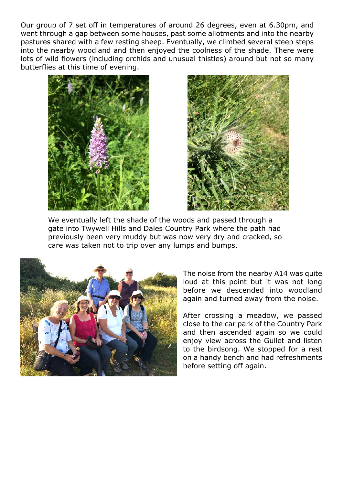Our group of 7 set off in temperatures of around 26 degrees, even at 6.30pm, and went through a gap between some houses, past some allotments and into the nearby pastures shared with a few resting sheep. Eventually, we climbed several steep steps into the nearby woodland and then enjoyed the coolness of the shade. There were lots of wild flowers (including orchids and unusual thistles) around but not so many butterflies at this time of evening.





We eventually left the shade of the woods and passed through a gate into Twywell Hills and Dales Country Park where the path had previously been very muddy but was now very dry and cracked, so care was taken not to trip over any lumps and bumps.



The noise from the nearby A14 was quite loud at this point but it was not long before we descended into woodland again and turned away from the noise.

After crossing a meadow, we passed close to the car park of the Country Park and then ascended again so we could enjoy view across the Gullet and listen to the birdsong. We stopped for a rest on a handy bench and had refreshments before setting off again.